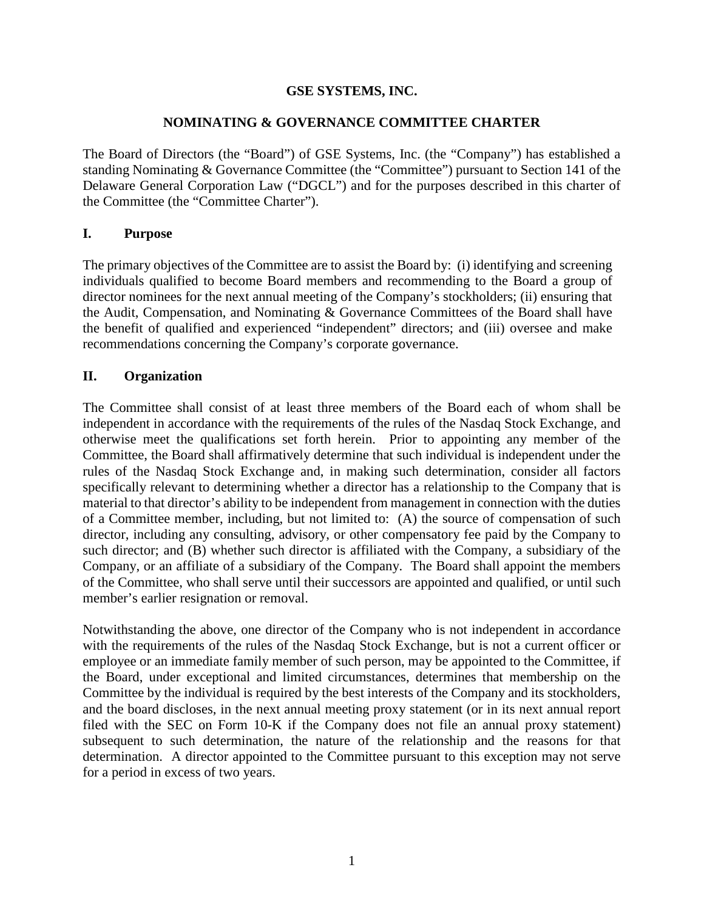### **GSE SYSTEMS, INC.**

### **NOMINATING & GOVERNANCE COMMITTEE CHARTER**

The Board of Directors (the "Board") of GSE Systems, Inc. (the "Company") has established a standing Nominating & Governance Committee (the "Committee") pursuant to Section 141 of the Delaware General Corporation Law ("DGCL") and for the purposes described in this charter of the Committee (the "Committee Charter").

#### **I. Purpose**

The primary objectives of the Committee are to assist the Board by: (i) identifying and screening individuals qualified to become Board members and recommending to the Board a group of director nominees for the next annual meeting of the Company's stockholders; (ii) ensuring that the Audit, Compensation, and Nominating & Governance Committees of the Board shall have the benefit of qualified and experienced "independent" directors; and (iii) oversee and make recommendations concerning the Company's corporate governance.

### **II. Organization**

The Committee shall consist of at least three members of the Board each of whom shall be independent in accordance with the requirements of the rules of the Nasdaq Stock Exchange, and otherwise meet the qualifications set forth herein. Prior to appointing any member of the Committee, the Board shall affirmatively determine that such individual is independent under the rules of the Nasdaq Stock Exchange and, in making such determination, consider all factors specifically relevant to determining whether a director has a relationship to the Company that is material to that director's ability to be independent from management in connection with the duties of a Committee member, including, but not limited to: (A) the source of compensation of such director, including any consulting, advisory, or other compensatory fee paid by the Company to such director; and (B) whether such director is affiliated with the Company, a subsidiary of the Company, or an affiliate of a subsidiary of the Company. The Board shall appoint the members of the Committee, who shall serve until their successors are appointed and qualified, or until such member's earlier resignation or removal.

Notwithstanding the above, one director of the Company who is not independent in accordance with the requirements of the rules of the Nasdaq Stock Exchange, but is not a current officer or employee or an immediate family member of such person, may be appointed to the Committee, if the Board, under exceptional and limited circumstances, determines that membership on the Committee by the individual is required by the best interests of the Company and its stockholders, and the board discloses, in the next annual meeting proxy statement (or in its next annual report filed with the SEC on Form 10-K if the Company does not file an annual proxy statement) subsequent to such determination, the nature of the relationship and the reasons for that determination. A director appointed to the Committee pursuant to this exception may not serve for a period in excess of two years.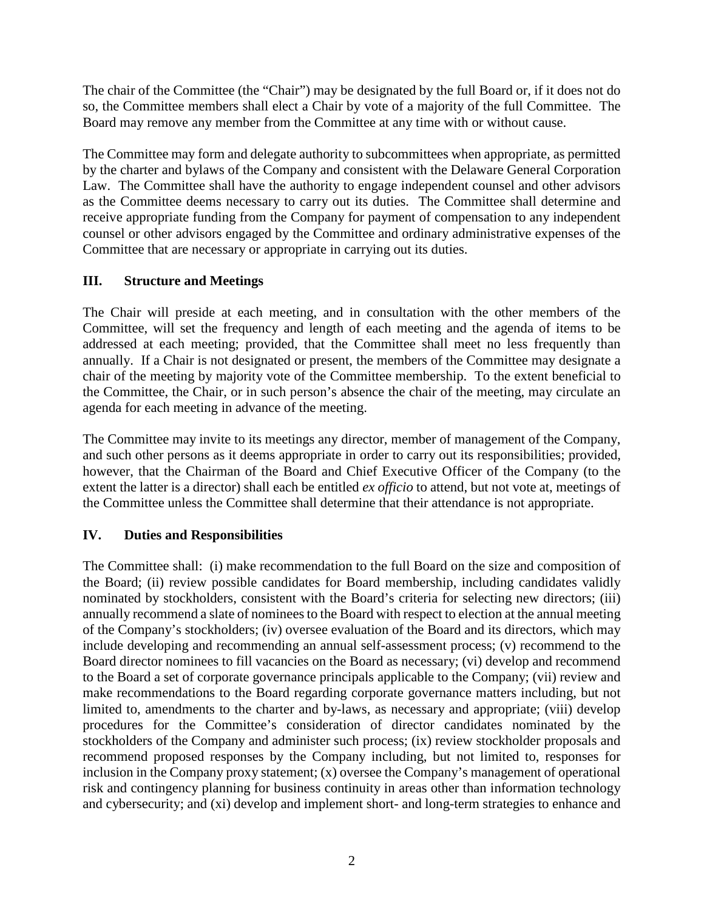The chair of the Committee (the "Chair") may be designated by the full Board or, if it does not do so, the Committee members shall elect a Chair by vote of a majority of the full Committee. The Board may remove any member from the Committee at any time with or without cause.

The Committee may form and delegate authority to subcommittees when appropriate, as permitted by the charter and bylaws of the Company and consistent with the Delaware General Corporation Law. The Committee shall have the authority to engage independent counsel and other advisors as the Committee deems necessary to carry out its duties. The Committee shall determine and receive appropriate funding from the Company for payment of compensation to any independent counsel or other advisors engaged by the Committee and ordinary administrative expenses of the Committee that are necessary or appropriate in carrying out its duties.

# **III. Structure and Meetings**

The Chair will preside at each meeting, and in consultation with the other members of the Committee, will set the frequency and length of each meeting and the agenda of items to be addressed at each meeting; provided, that the Committee shall meet no less frequently than annually. If a Chair is not designated or present, the members of the Committee may designate a chair of the meeting by majority vote of the Committee membership. To the extent beneficial to the Committee, the Chair, or in such person's absence the chair of the meeting, may circulate an agenda for each meeting in advance of the meeting.

The Committee may invite to its meetings any director, member of management of the Company, and such other persons as it deems appropriate in order to carry out its responsibilities; provided, however, that the Chairman of the Board and Chief Executive Officer of the Company (to the extent the latter is a director) shall each be entitled *ex officio* to attend, but not vote at, meetings of the Committee unless the Committee shall determine that their attendance is not appropriate.

# **IV. Duties and Responsibilities**

The Committee shall: (i) make recommendation to the full Board on the size and composition of the Board; (ii) review possible candidates for Board membership, including candidates validly nominated by stockholders, consistent with the Board's criteria for selecting new directors; (iii) annually recommend a slate of nominees to the Board with respect to election at the annual meeting of the Company's stockholders; (iv) oversee evaluation of the Board and its directors, which may include developing and recommending an annual self-assessment process; (v) recommend to the Board director nominees to fill vacancies on the Board as necessary; (vi) develop and recommend to the Board a set of corporate governance principals applicable to the Company; (vii) review and make recommendations to the Board regarding corporate governance matters including, but not limited to, amendments to the charter and by-laws, as necessary and appropriate; (viii) develop procedures for the Committee's consideration of director candidates nominated by the stockholders of the Company and administer such process; (ix) review stockholder proposals and recommend proposed responses by the Company including, but not limited to, responses for inclusion in the Company proxy statement; (x) oversee the Company's management of operational risk and contingency planning for business continuity in areas other than information technology and cybersecurity; and (xi) develop and implement short- and long-term strategies to enhance and